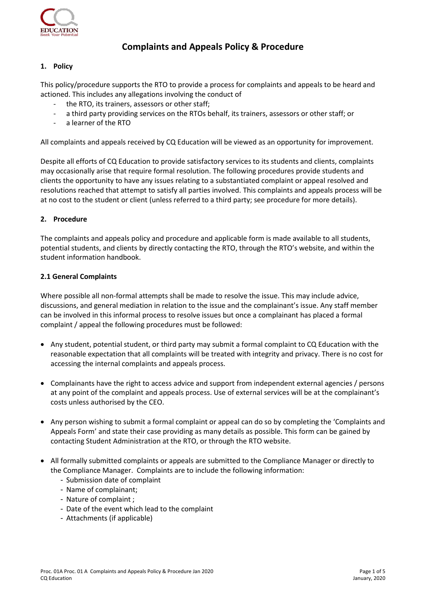

# **Complaints and Appeals Policy & Procedure**

# **1. Policy**

This policy/procedure supports the RTO to provide a process for complaints and appeals to be heard and actioned. This includes any allegations involving the conduct of

- the RTO, its trainers, assessors or other staff;
- a third party providing services on the RTOs behalf, its trainers, assessors or other staff; or
- a learner of the RTO

All complaints and appeals received by CQ Education will be viewed as an opportunity for improvement.

Despite all efforts of CQ Education to provide satisfactory services to its students and clients, complaints may occasionally arise that require formal resolution. The following procedures provide students and clients the opportunity to have any issues relating to a substantiated complaint or appeal resolved and resolutions reached that attempt to satisfy all parties involved. This complaints and appeals process will be at no cost to the student or client (unless referred to a third party; see procedure for more details).

# **2. Procedure**

The complaints and appeals policy and procedure and applicable form is made available to all students, potential students, and clients by directly contacting the RTO, through the RTO's website, and within the student information handbook.

#### **2.1 General Complaints**

Where possible all non-formal attempts shall be made to resolve the issue. This may include advice, discussions, and general mediation in relation to the issue and the complainant's issue. Any staff member can be involved in this informal process to resolve issues but once a complainant has placed a formal complaint / appeal the following procedures must be followed:

- Any student, potential student, or third party may submit a formal complaint to CQ Education with the reasonable expectation that all complaints will be treated with integrity and privacy. There is no cost for accessing the internal complaints and appeals process.
- Complainants have the right to access advice and support from independent external agencies / persons at any point of the complaint and appeals process. Use of external services will be at the complainant's costs unless authorised by the CEO.
- Any person wishing to submit a formal complaint or appeal can do so by completing the 'Complaints and Appeals Form' and state their case providing as many details as possible. This form can be gained by contacting Student Administration at the RTO, or through the RTO website.
- All formally submitted complaints or appeals are submitted to the Compliance Manager or directly to the Compliance Manager. Complaints are to include the following information:
	- Submission date of complaint
	- Name of complainant;
	- Nature of complaint ;
	- Date of the event which lead to the complaint
	- Attachments (if applicable)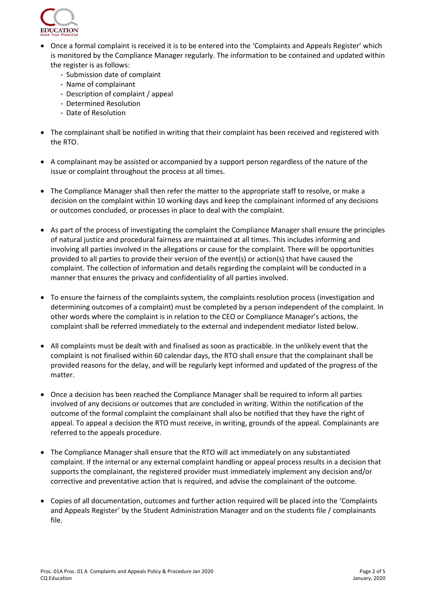

- Once a formal complaint is received it is to be entered into the 'Complaints and Appeals Register' which is monitored by the Compliance Manager regularly. The information to be contained and updated within the register is as follows:
	- Submission date of complaint
	- Name of complainant
	- Description of complaint / appeal
	- Determined Resolution
	- Date of Resolution
- The complainant shall be notified in writing that their complaint has been received and registered with the RTO.
- A complainant may be assisted or accompanied by a support person regardless of the nature of the issue or complaint throughout the process at all times.
- The Compliance Manager shall then refer the matter to the appropriate staff to resolve, or make a decision on the complaint within 10 working days and keep the complainant informed of any decisions or outcomes concluded, or processes in place to deal with the complaint.
- As part of the process of investigating the complaint the Compliance Manager shall ensure the principles of natural justice and procedural fairness are maintained at all times. This includes informing and involving all parties involved in the allegations or cause for the complaint. There will be opportunities provided to all parties to provide their version of the event(s) or action(s) that have caused the complaint. The collection of information and details regarding the complaint will be conducted in a manner that ensures the privacy and confidentiality of all parties involved.
- To ensure the fairness of the complaints system, the complaints resolution process (investigation and determining outcomes of a complaint) must be completed by a person independent of the complaint. In other words where the complaint is in relation to the CEO or Compliance Manager's actions, the complaint shall be referred immediately to the external and independent mediator listed below.
- All complaints must be dealt with and finalised as soon as practicable. In the unlikely event that the complaint is not finalised within 60 calendar days, the RTO shall ensure that the complainant shall be provided reasons for the delay, and will be regularly kept informed and updated of the progress of the matter.
- Once a decision has been reached the Compliance Manager shall be required to inform all parties involved of any decisions or outcomes that are concluded in writing. Within the notification of the outcome of the formal complaint the complainant shall also be notified that they have the right of appeal. To appeal a decision the RTO must receive, in writing, grounds of the appeal. Complainants are referred to the appeals procedure.
- The Compliance Manager shall ensure that the RTO will act immediately on any substantiated complaint. If the internal or any external complaint handling or appeal process results in a decision that supports the complainant, the registered provider must immediately implement any decision and/or corrective and preventative action that is required, and advise the complainant of the outcome.
- Copies of all documentation, outcomes and further action required will be placed into the 'Complaints and Appeals Register' by the Student Administration Manager and on the students file / complainants file.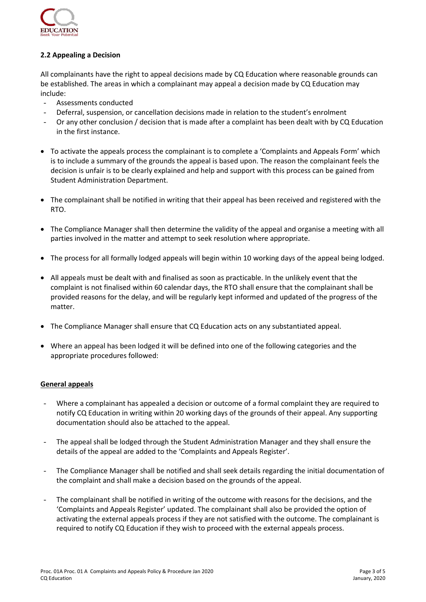

# **2.2 Appealing a Decision**

All complainants have the right to appeal decisions made by CQ Education where reasonable grounds can be established. The areas in which a complainant may appeal a decision made by CQ Education may include:

- Assessments conducted
- Deferral, suspension, or cancellation decisions made in relation to the student's enrolment
- Or any other conclusion / decision that is made after a complaint has been dealt with by CQ Education in the first instance.
- To activate the appeals process the complainant is to complete a 'Complaints and Appeals Form' which is to include a summary of the grounds the appeal is based upon. The reason the complainant feels the decision is unfair is to be clearly explained and help and support with this process can be gained from Student Administration Department.
- The complainant shall be notified in writing that their appeal has been received and registered with the RTO.
- The Compliance Manager shall then determine the validity of the appeal and organise a meeting with all parties involved in the matter and attempt to seek resolution where appropriate.
- The process for all formally lodged appeals will begin within 10 working days of the appeal being lodged.
- All appeals must be dealt with and finalised as soon as practicable. In the unlikely event that the complaint is not finalised within 60 calendar days, the RTO shall ensure that the complainant shall be provided reasons for the delay, and will be regularly kept informed and updated of the progress of the matter.
- The Compliance Manager shall ensure that CQ Education acts on any substantiated appeal.
- Where an appeal has been lodged it will be defined into one of the following categories and the appropriate procedures followed:

#### **General appeals**

- Where a complainant has appealed a decision or outcome of a formal complaint they are required to notify CQ Education in writing within 20 working days of the grounds of their appeal. Any supporting documentation should also be attached to the appeal.
- The appeal shall be lodged through the Student Administration Manager and they shall ensure the details of the appeal are added to the 'Complaints and Appeals Register'.
- The Compliance Manager shall be notified and shall seek details regarding the initial documentation of the complaint and shall make a decision based on the grounds of the appeal.
- The complainant shall be notified in writing of the outcome with reasons for the decisions, and the 'Complaints and Appeals Register' updated. The complainant shall also be provided the option of activating the external appeals process if they are not satisfied with the outcome. The complainant is required to notify CQ Education if they wish to proceed with the external appeals process.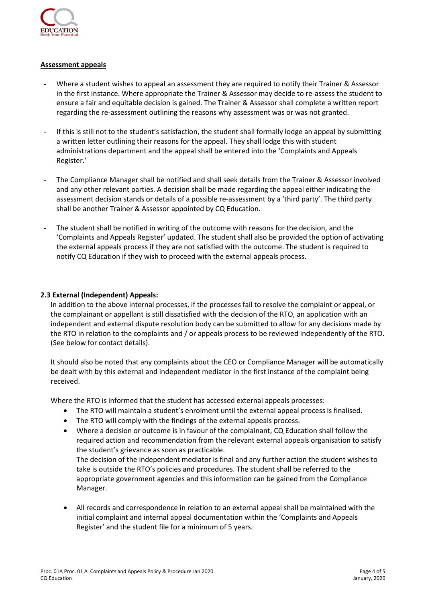

## **Assessment appeals**

- Where a student wishes to appeal an assessment they are required to notify their Trainer & Assessor in the first instance. Where appropriate the Trainer & Assessor may decide to re-assess the student to ensure a fair and equitable decision is gained. The Trainer & Assessor shall complete a written report regarding the re-assessment outlining the reasons why assessment was or was not granted.
- If this is still not to the student's satisfaction, the student shall formally lodge an appeal by submitting a written letter outlining their reasons for the appeal. They shall lodge this with student administrations department and the appeal shall be entered into the 'Complaints and Appeals Register.'
- The Compliance Manager shall be notified and shall seek details from the Trainer & Assessor involved and any other relevant parties. A decision shall be made regarding the appeal either indicating the assessment decision stands or details of a possible re-assessment by a 'third party'. The third party shall be another Trainer & Assessor appointed by CQ Education.
- The student shall be notified in writing of the outcome with reasons for the decision, and the 'Complaints and Appeals Register' updated. The student shall also be provided the option of activating the external appeals process if they are not satisfied with the outcome. The student is required to notify CQ Education if they wish to proceed with the external appeals process.

#### **2.3 External (Independent) Appeals:**

In addition to the above internal processes, if the processes fail to resolve the complaint or appeal, or the complainant or appellant is still dissatisfied with the decision of the RTO, an application with an independent and external dispute resolution body can be submitted to allow for any decisions made by the RTO in relation to the complaints and / or appeals process to be reviewed independently of the RTO. (See below for contact details).

It should also be noted that any complaints about the CEO or Compliance Manager will be automatically be dealt with by this external and independent mediator in the first instance of the complaint being received.

Where the RTO is informed that the student has accessed external appeals processes:

- The RTO will maintain a student's enrolment until the external appeal process is finalised.
- The RTO will comply with the findings of the external appeals process.
- Where a decision or outcome is in favour of the complainant, CQ Education shall follow the required action and recommendation from the relevant external appeals organisation to satisfy the student's grievance as soon as practicable. The decision of the independent mediator is final and any further action the student wishes to take is outside the RTO's policies and procedures. The student shall be referred to the appropriate government agencies and this information can be gained from the Compliance Manager.
- All records and correspondence in relation to an external appeal shall be maintained with the initial complaint and internal appeal documentation within the 'Complaints and Appeals Register' and the student file for a minimum of 5 years.